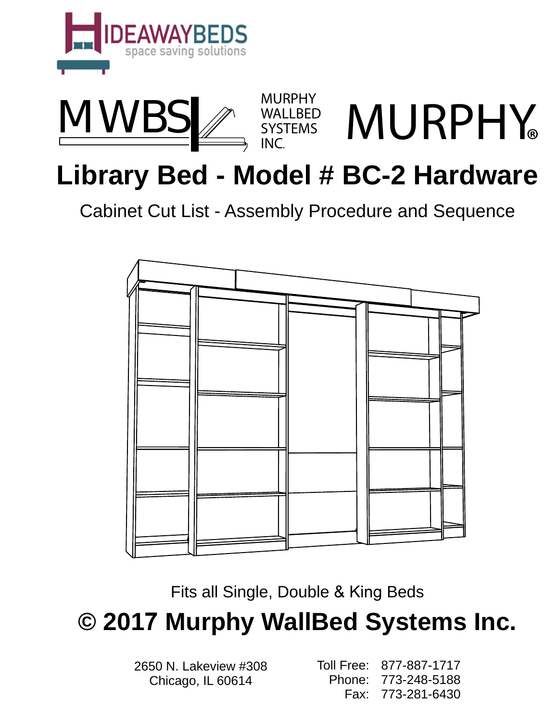



# **Library Bed - Model # BC-2 Hardware**

Cabinet Cut List - Assembly Procedure and Sequence



Fits all Single, Double & King Beds

**© 2017 Murphy WallBed Systems Inc.**

2650 N. Lakeview #308 Chicago, IL 60614

Toll Free: 877-887-1717 Phone: 773-248-5188 Fax: 773-281-6430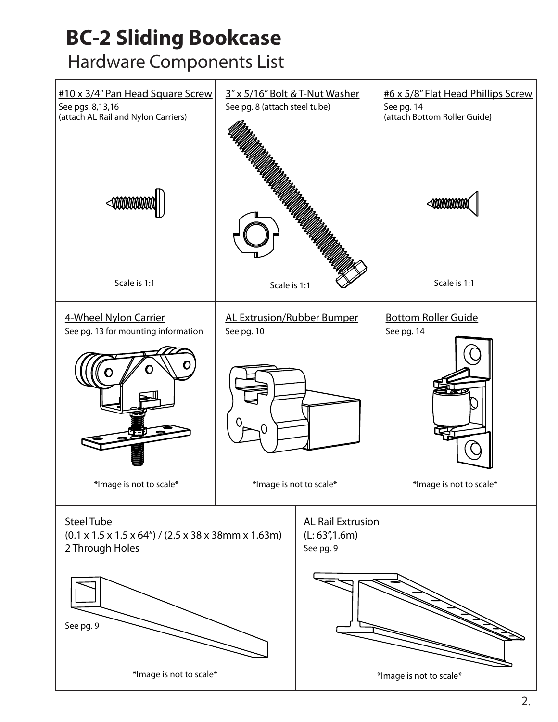# **BC-2 Sliding Bookcase**  Hardware Components List

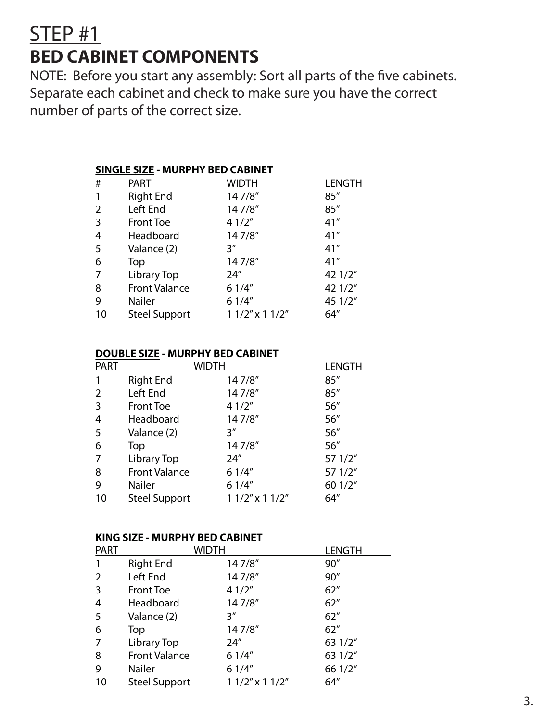### STEP #1 **BED CABINET COMPONENTS**

NOTE: Before you start any assembly: Sort all parts of the five cabinets. Separate each cabinet and check to make sure you have the correct number of parts of the correct size.

| <b>SINGLE SIZE - MURPHY BED CABINET</b> |  |  |  |  |  |
|-----------------------------------------|--|--|--|--|--|
|                                         |  |  |  |  |  |
|                                         |  |  |  |  |  |
|                                         |  |  |  |  |  |
|                                         |  |  |  |  |  |
|                                         |  |  |  |  |  |
|                                         |  |  |  |  |  |
|                                         |  |  |  |  |  |
|                                         |  |  |  |  |  |
|                                         |  |  |  |  |  |
|                                         |  |  |  |  |  |
|                                         |  |  |  |  |  |
|                                         |  |  |  |  |  |

#### **DOUBLE SIZE - MURPHY BED CABINET**

| <b>PART</b> | WIDTH                |                     | <b>LENGTH</b> |
|-------------|----------------------|---------------------|---------------|
|             | <b>Right End</b>     | 147/8"              | 85''          |
| 2           | Left End             | 147/8"              | 85''          |
| 3           | <b>Front Toe</b>     | 41/2"               | 56"           |
| 4           | Headboard            | 147/8"              | 56"           |
| -5          | Valance (2)          | 3''                 | 56"           |
| 6           | Top                  | 147/8"              | 56"           |
| 7           | Library Top          | 24″                 | 57 1/2"       |
| 8           | <b>Front Valance</b> | 61/4"               | 57 1/2"       |
| 9           | Nailer               | 61/4"               | 60 1/2"       |
| 10          | <b>Steel Support</b> | $11/2$ " x $11/2$ " | 64''          |

#### **KING SIZE - MURPHY BED CABINET**

| <b>PART</b> |                      | Width               | LENGTH  |
|-------------|----------------------|---------------------|---------|
|             | <b>Right End</b>     | 147/8"              | 90''    |
| 2           | Left End             | 147/8"              | 90''    |
| 3           | <b>Front Toe</b>     | 41/2"               | 62"     |
| 4           | Headboard            | 147/8"              | 62"     |
| 5           | Valance (2)          | 3''                 | 62"     |
| 6           | Top                  | 147/8"              | 62"     |
|             | Library Top          | 24''                | 63 1/2" |
| 8           | <b>Front Valance</b> | 61/4"               | 63 1/2" |
| 9           | <b>Nailer</b>        | 61/4"               | 66 1/2" |
| 10          | <b>Steel Support</b> | $11/2$ " x $11/2$ " | 64"     |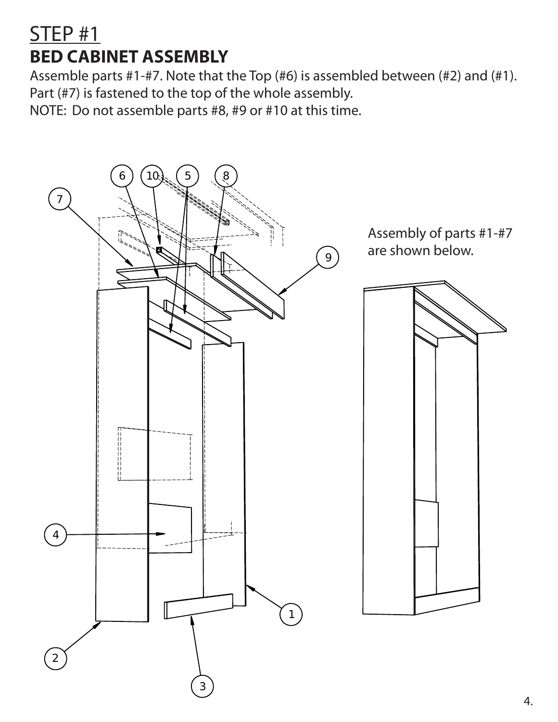### STEP #1 **BED CABINET ASSEMBLY**

Assemble parts #1-#7. Note that the Top (#6) is assembled between (#2) and (#1). Part (#7) is fastened to the top of the whole assembly.

NOTE: Do not assemble parts #8, #9 or #10 at this time.

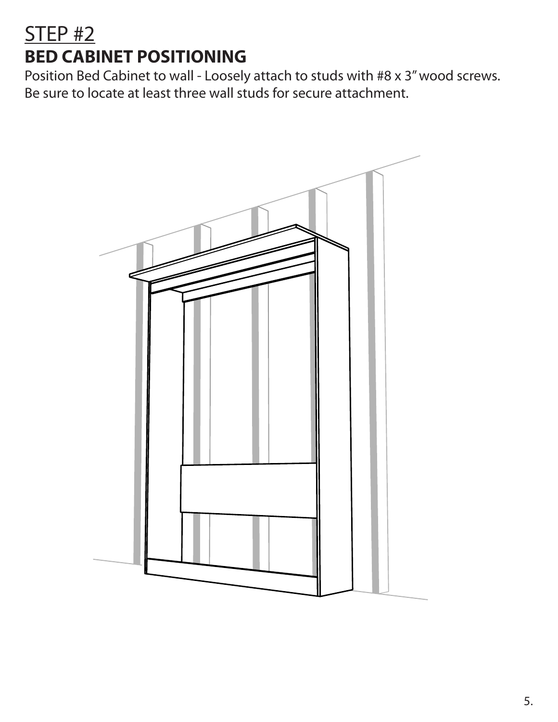# STEP #2 **BED CABINET POSITIONING**

Position Bed Cabinet to wall - Loosely attach to studs with #8 x 3" wood screws. Be sure to locate at least three wall studs for secure attachment.

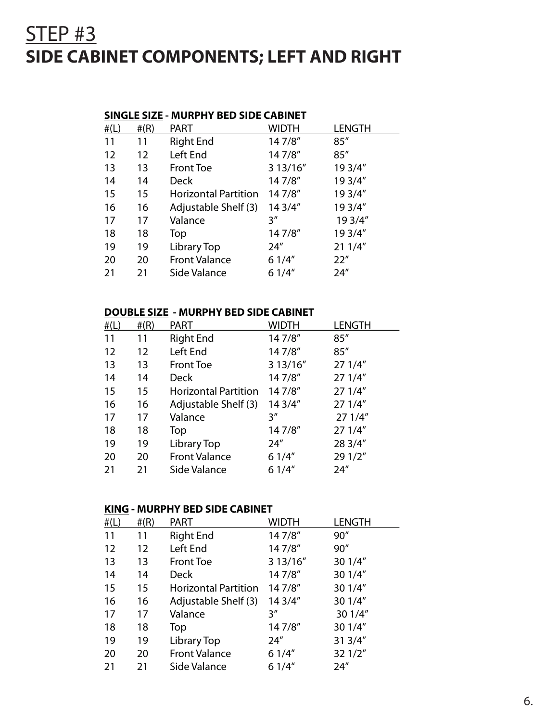### STEP #3 **SIDE CABINET COMPONENTS; LEFT AND RIGHT**

#### **SINGLE SIZE - MURPHY BED SIDE CABINET**

| #(L) | #(R) | <b>PART</b>                 | Width    | LENGTH  |
|------|------|-----------------------------|----------|---------|
| 11   | 11   | <b>Right End</b>            | 147/8"   | 85''    |
| 12   | 12   | Left End                    | 147/8"   | 85''    |
| 13   | 13   | <b>Front Toe</b>            | 3 13/16" | 19 3/4" |
| 14   | 14   | <b>Deck</b>                 | 147/8"   | 19 3/4" |
| 15   | 15   | <b>Horizontal Partition</b> | 147/8"   | 19 3/4" |
| 16   | 16   | Adjustable Shelf (3)        | 14 3/4"  | 19 3/4" |
| 17   | 17   | Valance                     | 3″       | 19 3/4" |
| 18   | 18   | Top                         | 147/8"   | 19 3/4" |
| 19   | 19   | Library Top                 | 24"      | 21 1/4" |
| 20   | 20   | <b>Front Valance</b>        | 61/4"    | 22"     |
| 21   | 21   | Side Valance                | 61/4"    | 24''    |

#### **DOUBLE SIZE - MURPHY BED SIDE CABINET**

| #(L) | #(R) | <b>PART</b>                 | Width    | LENGTH  |
|------|------|-----------------------------|----------|---------|
| 11   | 11   | <b>Right End</b>            | 147/8"   | 85''    |
| 12   | 12   | Left End                    | 147/8"   | 85''    |
| 13   | 13   | <b>Front Toe</b>            | 3 13/16" | 27 1/4" |
| 14   | 14   | <b>Deck</b>                 | 147/8"   | 27 1/4" |
| 15   | 15   | <b>Horizontal Partition</b> | 147/8"   | 27 1/4" |
| 16   | 16   | Adjustable Shelf (3)        | 14 3/4"  | 27 1/4" |
| 17   | 17   | Valance                     | 3″       | 271/4"  |
| 18   | 18   | Top                         | 147/8"   | 27 1/4" |
| 19   | 19   | Library Top                 | 24''     | 28 3/4" |
| 20   | 20   | <b>Front Valance</b>        | 61/4"    | 29 1/2" |
| 21   | 21   | Side Valance                | 61/4"    | 24''    |

#### **KING - MURPHY BED SIDE CABINET**

| #(L) | #(R) | <b>PART</b>                 | Width    | LENGTH  |
|------|------|-----------------------------|----------|---------|
| 11   | 11   | <b>Right End</b>            | 147/8"   | 90"     |
| 12   | 12   | Left End                    | 147/8"   | 90''    |
| 13   | 13   | <b>Front Toe</b>            | 3 13/16" | 30 1/4" |
| 14   | 14   | <b>Deck</b>                 | 147/8"   | 30 1/4" |
| 15   | 15   | <b>Horizontal Partition</b> | 147/8"   | 30 1/4" |
| 16   | 16   | Adjustable Shelf (3)        | 14 3/4"  | 30 1/4" |
| 17   | 17   | Valance                     | 3″       | 30 1/4" |
| 18   | 18   | Top                         | 147/8"   | 30 1/4" |
| 19   | 19   | Library Top                 | 24''     | 31 3/4" |
| 20   | 20   | <b>Front Valance</b>        | 61/4"    | 32 1/2" |
| 21   | 21   | Side Valance                | 61/4"    | 24''    |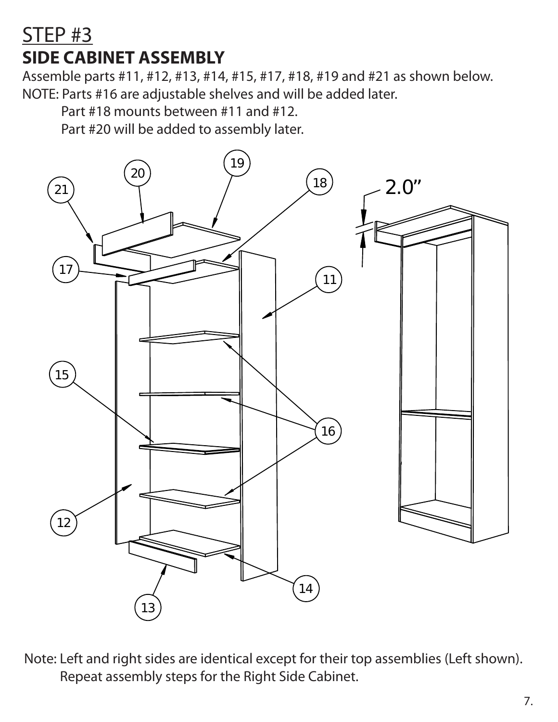### STEP #3 **SIDE CABINET ASSEMBLY**

Assemble parts #11, #12, #13, #14, #15, #17, #18, #19 and #21 as shown below. NOTE: Parts #16 are adjustable shelves and will be added later.

Part #18 mounts between #11 and #12.

Part #20 will be added to assembly later.



Note: Left and right sides are identical except for their top assemblies (Left shown). Repeat assembly steps for the Right Side Cabinet.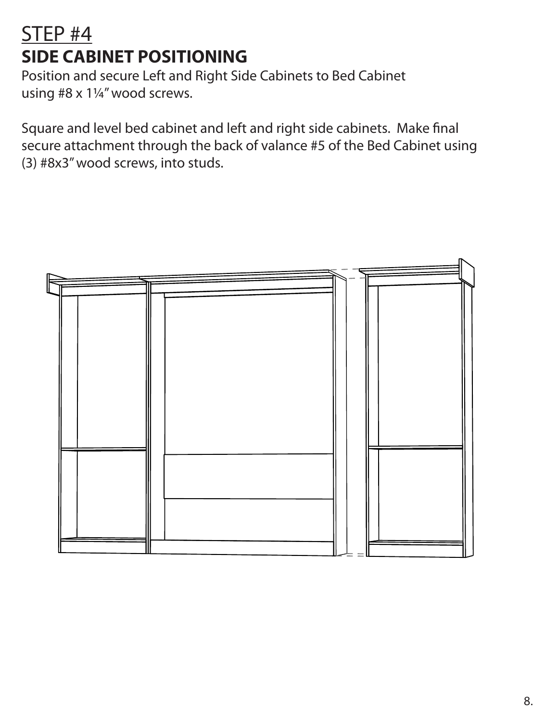# STEP #4 **SIDE CABINET POSITIONING**

Position and secure Left and Right Side Cabinets to Bed Cabinet using #8 x 1¼" wood screws.

Square and level bed cabinet and left and right side cabinets. Make final secure attachment through the back of valance #5 of the Bed Cabinet using (3) #8x3" wood screws, into studs.

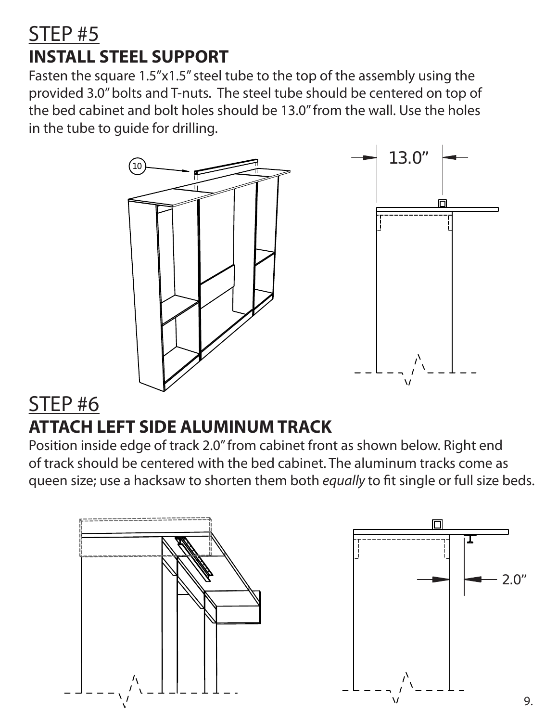### STEP #5 **INSTALL STEEL SUPPORT**

Fasten the square 1.5"x1.5" steel tube to the top of the assembly using the provided 3.0" bolts and T-nuts. The steel tube should be centered on top of the bed cabinet and bolt holes should be 13.0" from the wall. Use the holes in the tube to guide for drilling.



### STEP #6 **ATTACH LEFT SIDE ALUMINUM TRACK**

Position inside edge of track 2.0" from cabinet front as shown below. Right end of track should be centered with the bed cabinet. The aluminum tracks come as queen size; use a hacksaw to shorten them both *equally* to fit single or full size beds.

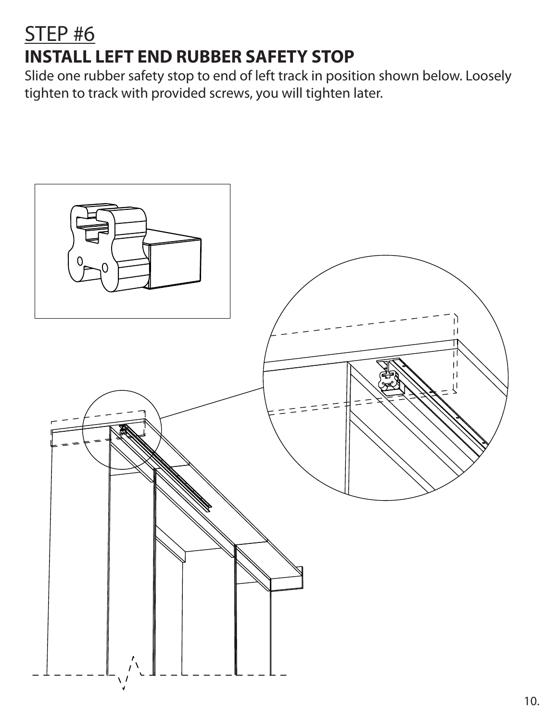# STEP #6 **INSTALL LEFT END RUBBER SAFETY STOP**

Slide one rubber safety stop to end of left track in position shown below. Loosely tighten to track with provided screws, you will tighten later.

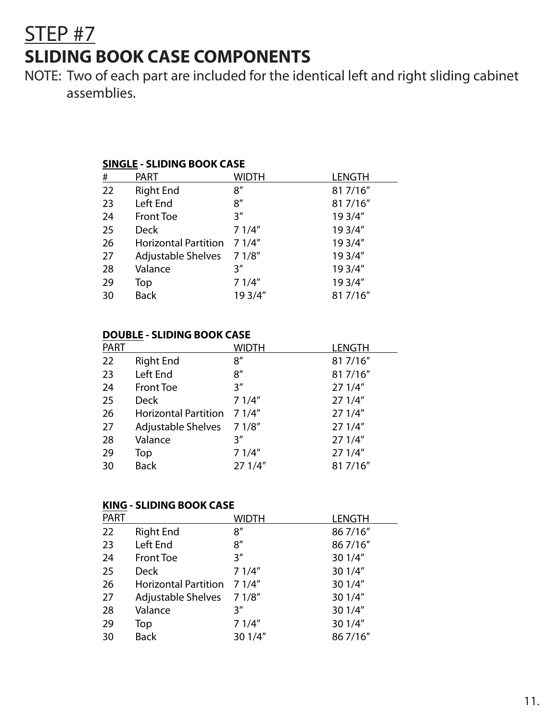### STEP #7 **SLIDING BOOK CASE COMPONENTS**

NOTE: Two of each part are included for the identical left and right sliding cabinet assemblies.

#### **SINGLE - SLIDING BOOK CASE**

| #  | <b>PART</b>                 | Width   | <b>LENGTH</b> |
|----|-----------------------------|---------|---------------|
| 22 | <b>Right End</b>            | 8''     | 81 7/16"      |
| 23 | Left End                    | 8''     | 81 7/16"      |
| 24 | <b>Front Toe</b>            | 3''     | 19 3/4"       |
| 25 | <b>Deck</b>                 | 71/4"   | 19 3/4"       |
| 26 | <b>Horizontal Partition</b> | 71/4"   | 19 3/4"       |
| 27 | Adjustable Shelves          | 71/8''  | 19 3/4"       |
| 28 | Valance                     | 3''     | 19 3/4"       |
| 29 | Top                         | 71/4"   | 19 3/4"       |
| 30 | <b>Back</b>                 | 19 3/4" | 81 7/16"      |
|    |                             |         |               |

#### **DOUBLE - SLIDING BOOK CASE**

| <b>PART</b> |                             | WIDTH  | <b>LENGTH</b> |
|-------------|-----------------------------|--------|---------------|
| 22          | <b>Right End</b>            | 8''    | 81 7/16"      |
| 23          | Left End                    | 8''    | 81 7/16"      |
| 24          | <b>Front Toe</b>            | 3''    | 27 1/4"       |
| 25          | <b>Deck</b>                 | 71/4"  | 27 1/4"       |
| 26          | <b>Horizontal Partition</b> | 71/4"  | 271/4"        |
| 27          | <b>Adjustable Shelves</b>   | 71/8'' | 271/4"        |
| 28          | Valance                     | 3''    | 27 1/4"       |
| 29          | Top                         | 71/4"  | 27 1/4"       |
| 30          | <b>Back</b>                 | 271/4" | 81 7/16"      |

#### **KING - SLIDING BOOK CASE**

| <b>PART</b> |                             | WIDTH   | <b>LENGTH</b> |
|-------------|-----------------------------|---------|---------------|
| 22          | <b>Right End</b>            | 8''     | 86 7/16"      |
| 23          | Left End                    | 8''     | 86 7/16"      |
| 24          | <b>Front Toe</b>            | 3''     | 30 1/4"       |
| 25          | <b>Deck</b>                 | 71/4"   | 30 1/4"       |
| 26          | <b>Horizontal Partition</b> | 71/4"   | 30 1/4"       |
| 27          | Adjustable Shelves          | 71/8''  | 30 1/4"       |
| 28          | Valance                     | 3''     | 30 1/4"       |
| 29          | Top                         | 71/4"   | 30 1/4"       |
| 30          | <b>Back</b>                 | 30 1/4" | 86 7/16"      |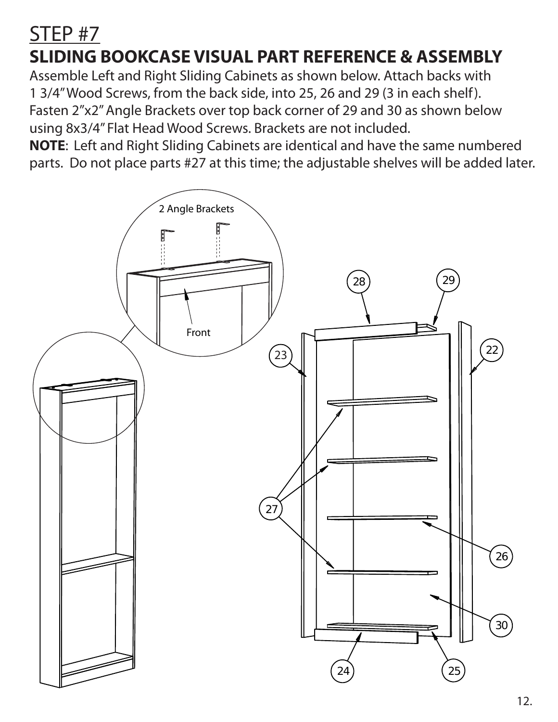### STEP #7 **SLIDING BOOKCASE VISUAL PART REFERENCE & ASSEMBLY**

Assemble Left and Right Sliding Cabinets as shown below. Attach backs with 1 3/4" Wood Screws, from the back side, into 25, 26 and 29 (3 in each shelf). Fasten 2"x2" Angle Brackets over top back corner of 29 and 30 as shown below using 8x3/4" Flat Head Wood Screws. Brackets are not included.

**NOTE**: Left and Right Sliding Cabinets are identical and have the same numbered parts. Do not place parts #27 at this time; the adjustable shelves will be added later.

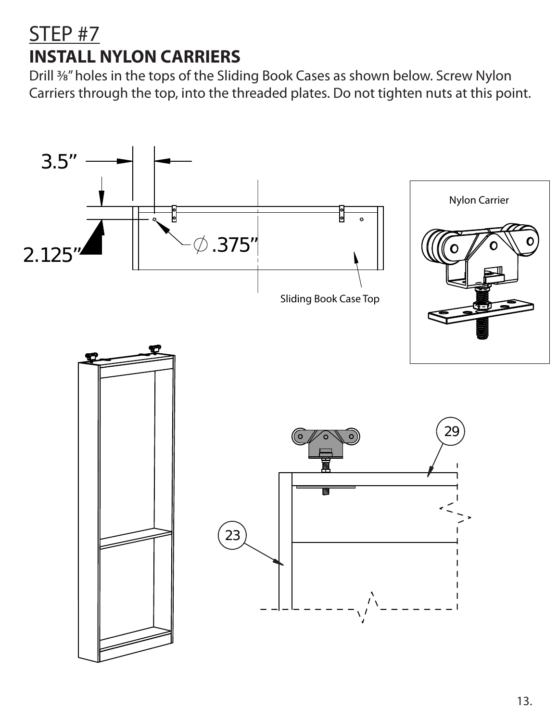### STEP #7 **INSTALL NYLON CARRIERS**

Drill 3⁄8" holes in the tops of the Sliding Book Cases as shown below. Screw Nylon Carriers through the top, into the threaded plates. Do not tighten nuts at this point.

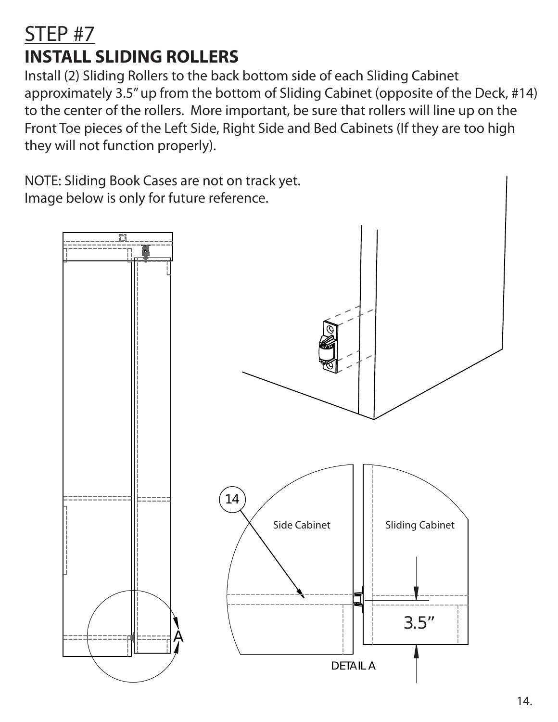# STEP #7 **INSTALL SLIDING ROLLERS**

Install (2) Sliding Rollers to the back bottom side of each Sliding Cabinet approximately 3.5" up from the bottom of Sliding Cabinet (opposite of the Deck, #14) to the center of the rollers. More important, be sure that rollers will line up on the Front Toe pieces of the Left Side, Right Side and Bed Cabinets (If they are too high they will not function properly).

NOTE: Sliding Book Cases are not on track yet. Image below is only for future reference.

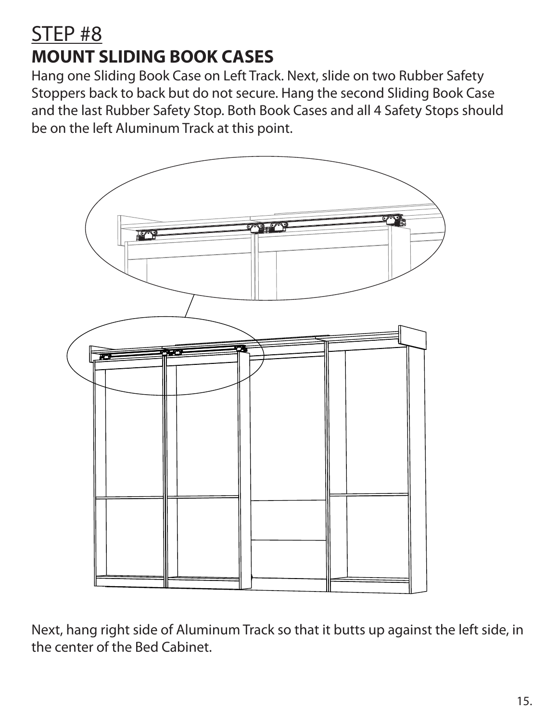# STEP #8 **MOUNT SLIDING BOOK CASES**

Hang one Sliding Book Case on Left Track. Next, slide on two Rubber Safety Stoppers back to back but do not secure. Hang the second Sliding Book Case and the last Rubber Safety Stop. Both Book Cases and all 4 Safety Stops should be on the left Aluminum Track at this point.



Next, hang right side of Aluminum Track so that it butts up against the left side, in the center of the Bed Cabinet.